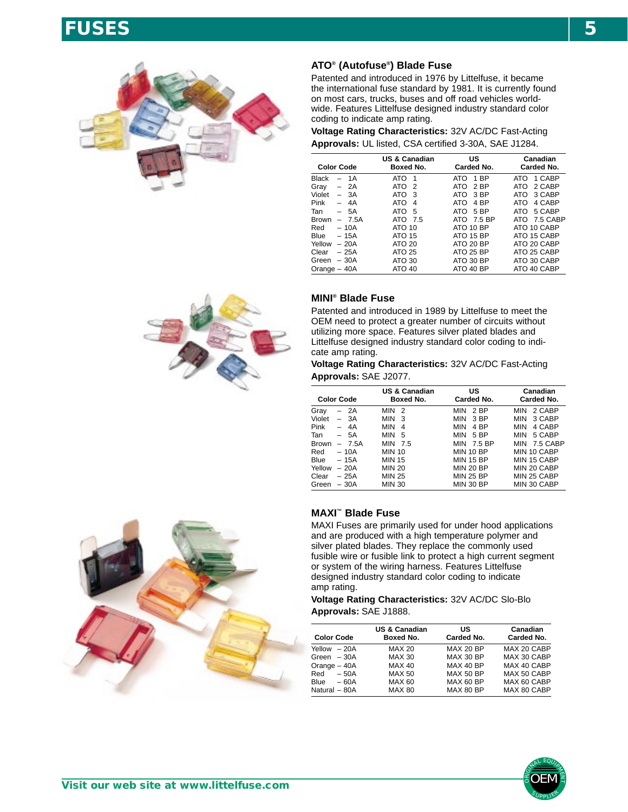# **FUSES 5**



#### **ATO® (Autofuse®) Blade Fuse**

Patented and introduced in 1976 by Littelfuse, it became the international fuse standard by 1981. It is currently found on most cars, trucks, buses and off road vehicles worldwide. Features Littelfuse designed industry standard color coding to indicate amp rating.

**Voltage Rating Characteristics:** 32V AC/DC Fast-Acting **Approvals:** UL listed, CSA certified 3-30A, SAE J1284.

|                   |                         | <b>US &amp; Canadian</b> | US                     | Canadian       |
|-------------------|-------------------------|--------------------------|------------------------|----------------|
| <b>Color Code</b> |                         | Boxed No.                | Carded No.             | Carded No.     |
| Black             | 1A                      | ATO<br>-1                | 1 <sub>BP</sub><br>ATO | 1 CABP<br>ATO  |
| Gray              | 2A                      | ATO<br>$\mathcal{P}$     | 2 <sub>RP</sub><br>ATO | 2 CABP<br>ATO. |
| Violet            | $-3A$                   | ATO.<br>3                | 3 BP<br>ATO            | 3 CABP<br>ATO. |
| Pink              | 4A<br>$\qquad \qquad -$ | ATO<br>4                 | 4 <sub>RP</sub><br>ATO | 4 CABP<br>ATO  |
| Tan               | - 5A                    | ATO<br>5                 | 5 BP<br>ATO            | 5 CABP<br>ATO. |
| <b>Brown</b>      | $-7.5A$                 | ATO 7.5                  | ATO 7.5 BP             | ATO 7.5 CABP   |
| Red               | $-10A$                  | ATO 10                   | ATO 10 BP              | ATO 10 CABP    |
| <b>Blue</b>       | $-15A$                  | <b>ATO 15</b>            | <b>ATO 15 BP</b>       | ATO 15 CABP    |
| Yellow            | $-20A$                  | ATO 20                   | <b>ATO 20 BP</b>       | ATO 20 CABP    |
| Clear             | $-25A$                  | ATO 25                   | <b>ATO 25 BP</b>       | ATO 25 CABP    |
| Green             | $-30A$                  | ATO 30                   | ATO 30 BP              | ATO 30 CABP    |
| Orange $-40A$     |                         | <b>ATO 40</b>            | ATO 40 BP              | ATO 40 CABP    |



### **MINI® Blade Fuse**

Patented and introduced in 1989 by Littelfuse to meet the OEM need to protect a greater number of circuits without utilizing more space. Features silver plated blades and Littelfuse designed industry standard color coding to indicate amp rating.

**Voltage Rating Characteristics:** 32V AC/DC Fast-Acting **Approvals:** SAE J2077.

|        | <b>Color Code</b> | US & Canadian<br>Boxed No.   | US<br>Carded No.              | Canadian<br>Carded No. |
|--------|-------------------|------------------------------|-------------------------------|------------------------|
| Grav   | 2A                | <b>MIN</b><br>-2             | <b>MIN</b><br>2 <sub>BP</sub> | 2 CABP<br><b>MIN</b>   |
| Violet | $-3A$             | MIN.<br>3                    | <b>MIN</b><br>3 BP            | 3 CABP<br>MIN          |
| Pink   | 4A                | <b>MIN</b><br>$\overline{4}$ | 4 BP<br><b>MIN</b>            | MIN<br>4 CABP          |
| Tan    | $-5A$             | <b>MIN</b><br>5              | <b>MIN</b><br>5 BP            | 5 CABP<br>MIN          |
| Brown  | $-7.5A$           | MIN 7.5                      | MIN<br>7.5 BP                 | MIN 7.5 CABP           |
| Red    | $-10A$            | <b>MIN 10</b>                | <b>MIN 10 BP</b>              | MIN 10 CABP            |
| Blue   | $-15A$            | MIN 15                       | <b>MIN 15 BP</b>              | MIN 15 CABP            |
| Yellow | $-20A$            | <b>MIN 20</b>                | <b>MIN 20 BP</b>              | MIN 20 CABP            |
| Clear  | $-25A$            | <b>MIN 25</b>                | <b>MIN 25 BP</b>              | MIN 25 CABP            |
| Green  | $-30A$            | <b>MIN 30</b>                | <b>MIN 30 BP</b>              | MIN 30 CABP            |
|        |                   |                              |                               |                        |

### **MAXI™ Blade Fuse**

MAXI Fuses are primarily used for under hood applications and are produced with a high temperature polymer and silver plated blades. They replace the commonly used fusible wire or fusible link to protect a high current segment or system of the wiring harness. Features Littelfuse designed industry standard color coding to indicate amp rating.

**Voltage Rating Characteristics:** 32V AC/DC Slo-Blo **Approvals:** SAE J1888.

| <b>Color Code</b>     | <b>US &amp; Canadian</b><br>Boxed No. | US<br>Carded No. | Canadian<br>Carded No. |
|-----------------------|---------------------------------------|------------------|------------------------|
| Yellow - 20A          | <b>MAX 20</b>                         | <b>MAX 20 BP</b> | MAX 20 CABP            |
| Green $-30A$          | <b>MAX 30</b>                         | <b>MAX 30 BP</b> | MAX 30 CABP            |
|                       |                                       |                  |                        |
| Orange $-40A$         | <b>MAX 40</b>                         | <b>MAX 40 BP</b> | MAX 40 CABP            |
| Red<br>$-50A$         | <b>MAX 50</b>                         | <b>MAX 50 BP</b> | MAX 50 CABP            |
| $-60A$<br><b>Blue</b> | <b>MAX 60</b>                         | MAX 60 BP        | MAX 60 CABP            |
| Natural - 80A         | <b>MAX 80</b>                         | MAX 80 BP        | MAX 80 CABP            |